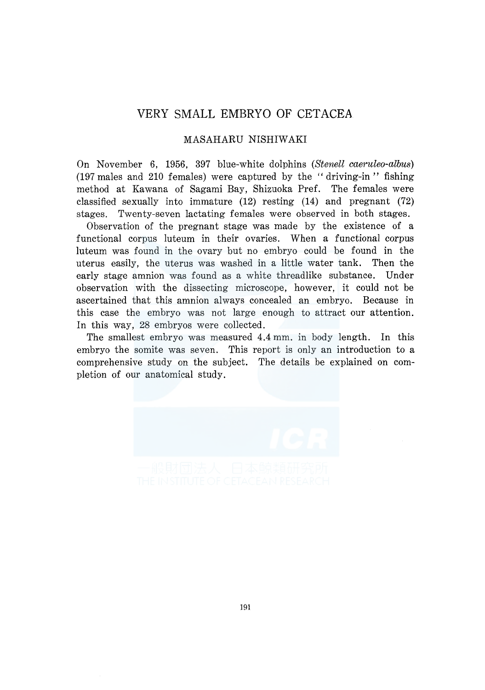## VERY SMALL EMBRYO OF CETACEA

## MASAHARU NISHIWAKI

On November 6, 1956, 397 blue-white dolphins *(Stenell caeruleo-albus)*  (197 males and 210 females) were captured by the "driving-in" fishing method at Kawana of Sagami Bay, Shizuoka Pref. The females were classified sexually into immature (12) resting (14) and pregnant (72) stages. Twenty-seven lactating females were observed in both stages.

Observation of the pregnant stage was made by the existence of a functional corpus luteum in their ovaries. When a functional corpus luteum was found in the ovary but no embryo could be found in the uterus easily, the uterus was washed in a little water tank. Then the early stage amnion was found as a white threadlike substance. Under observation with the dissecting microscope, however, it could not be ascertained that this amnion always concealed an embryo. Because in this case the embryo was not large enough to attract our attention. In this way, 28 embryos were collected.

The smallest embryo was measured 4.4 mm. in body length. In this embryo the somite was seven. This report is only an introduction to a comprehensive study on the subject. The details be explained on completion of our anatomical study.

191